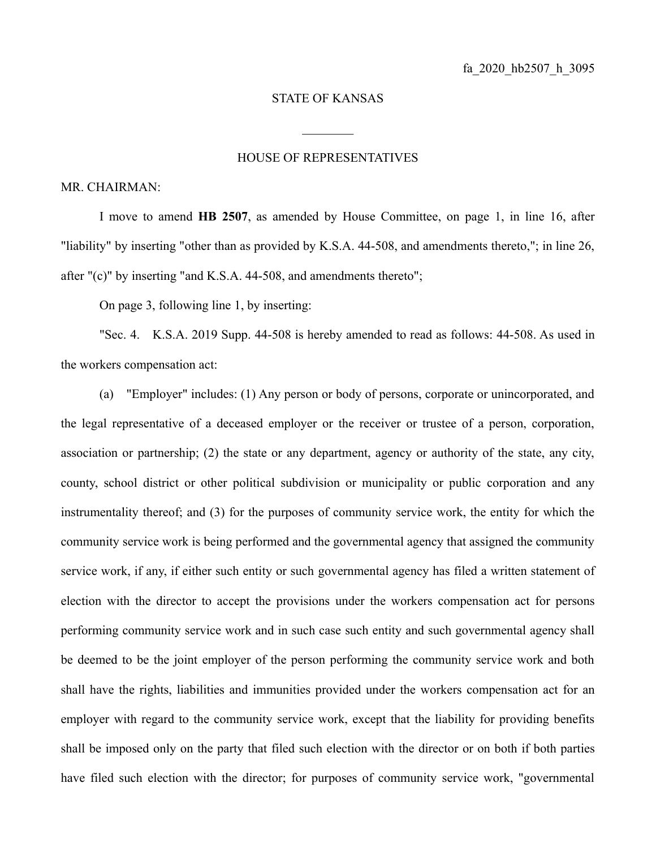## STATE OF KANSAS

 $\frac{1}{2}$ 

## HOUSE OF REPRESENTATIVES

## MR. CHAIRMAN:

I move to amend **HB 2507**, as amended by House Committee, on page 1, in line 16, after "liability" by inserting "other than as provided by K.S.A. 44-508, and amendments thereto,"; in line 26, after "(c)" by inserting "and K.S.A. 44-508, and amendments thereto";

On page 3, following line 1, by inserting:

"Sec. 4. K.S.A. 2019 Supp. 44-508 is hereby amended to read as follows: 44-508. As used in the workers compensation act:

(a) "Employer" includes: (1) Any person or body of persons, corporate or unincorporated, and the legal representative of a deceased employer or the receiver or trustee of a person, corporation, association or partnership; (2) the state or any department, agency or authority of the state, any city, county, school district or other political subdivision or municipality or public corporation and any instrumentality thereof; and (3) for the purposes of community service work, the entity for which the community service work is being performed and the governmental agency that assigned the community service work, if any, if either such entity or such governmental agency has filed a written statement of election with the director to accept the provisions under the workers compensation act for persons performing community service work and in such case such entity and such governmental agency shall be deemed to be the joint employer of the person performing the community service work and both shall have the rights, liabilities and immunities provided under the workers compensation act for an employer with regard to the community service work, except that the liability for providing benefits shall be imposed only on the party that filed such election with the director or on both if both parties have filed such election with the director; for purposes of community service work, "governmental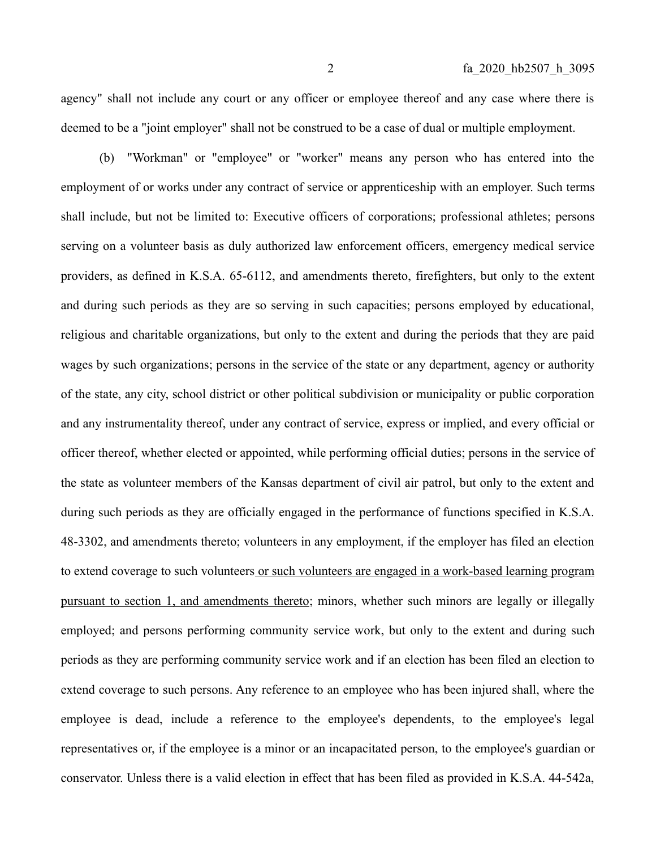agency" shall not include any court or any officer or employee thereof and any case where there is deemed to be a "joint employer" shall not be construed to be a case of dual or multiple employment.

(b) "Workman" or "employee" or "worker" means any person who has entered into the employment of or works under any contract of service or apprenticeship with an employer. Such terms shall include, but not be limited to: Executive officers of corporations; professional athletes; persons serving on a volunteer basis as duly authorized law enforcement officers, emergency medical service providers, as defined in K.S.A. 65-6112, and amendments thereto, firefighters, but only to the extent and during such periods as they are so serving in such capacities; persons employed by educational, religious and charitable organizations, but only to the extent and during the periods that they are paid wages by such organizations; persons in the service of the state or any department, agency or authority of the state, any city, school district or other political subdivision or municipality or public corporation and any instrumentality thereof, under any contract of service, express or implied, and every official or officer thereof, whether elected or appointed, while performing official duties; persons in the service of the state as volunteer members of the Kansas department of civil air patrol, but only to the extent and during such periods as they are officially engaged in the performance of functions specified in K.S.A. 48-3302, and amendments thereto; volunteers in any employment, if the employer has filed an election to extend coverage to such volunteers or such volunteers are engaged in a work-based learning program pursuant to section 1, and amendments thereto; minors, whether such minors are legally or illegally employed; and persons performing community service work, but only to the extent and during such periods as they are performing community service work and if an election has been filed an election to extend coverage to such persons. Any reference to an employee who has been injured shall, where the employee is dead, include a reference to the employee's dependents, to the employee's legal representatives or, if the employee is a minor or an incapacitated person, to the employee's guardian or conservator. Unless there is a valid election in effect that has been filed as provided in K.S.A. 44-542a,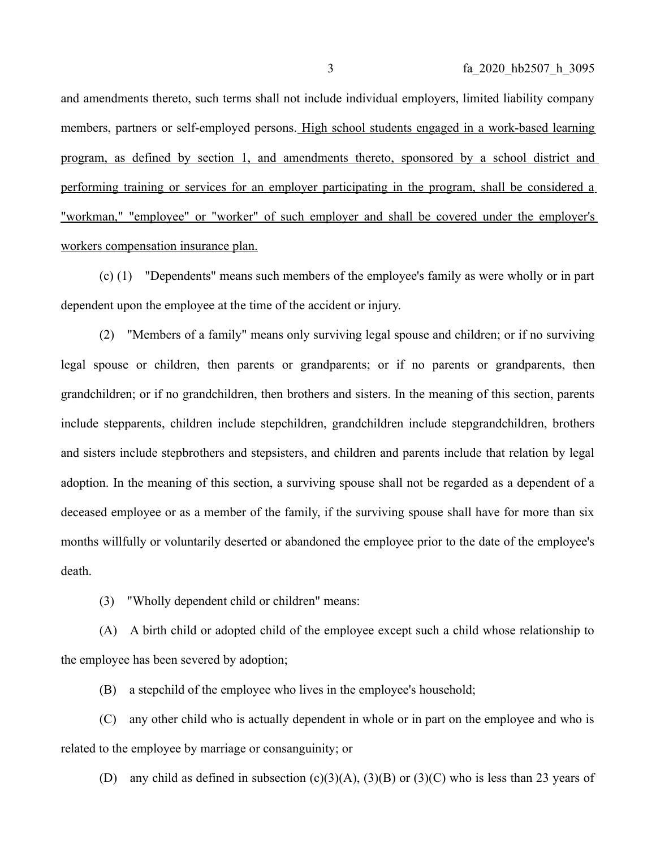and amendments thereto, such terms shall not include individual employers, limited liability company members, partners or self-employed persons. High school students engaged in a work-based learning program, as defined by section 1, and amendments thereto, sponsored by a school district and performing training or services for an employer participating in the program, shall be considered a " workman, " "employee" or "worker" of such employer and shall be covered under the employer's workers compensation insurance plan.

(c) (1) "Dependents" means such members of the employee's family as were wholly or in part dependent upon the employee at the time of the accident or injury.

(2) "Members of a family" means only surviving legal spouse and children; or if no surviving legal spouse or children, then parents or grandparents; or if no parents or grandparents, then grandchildren; or if no grandchildren, then brothers and sisters. In the meaning of this section, parents include stepparents, children include stepchildren, grandchildren include stepgrandchildren, brothers and sisters include stepbrothers and stepsisters, and children and parents include that relation by legal adoption. In the meaning of this section, a surviving spouse shall not be regarded as a dependent of a deceased employee or as a member of the family, if the surviving spouse shall have for more than six months willfully or voluntarily deserted or abandoned the employee prior to the date of the employee's death.

(3) "Wholly dependent child or children" means:

(A) A birth child or adopted child of the employee except such a child whose relationship to the employee has been severed by adoption;

(B) a stepchild of the employee who lives in the employee's household;

(C) any other child who is actually dependent in whole or in part on the employee and who is related to the employee by marriage or consanguinity; or

(D) any child as defined in subsection  $(c)(3)(A)$ ,  $(3)(B)$  or  $(3)(C)$  who is less than 23 years of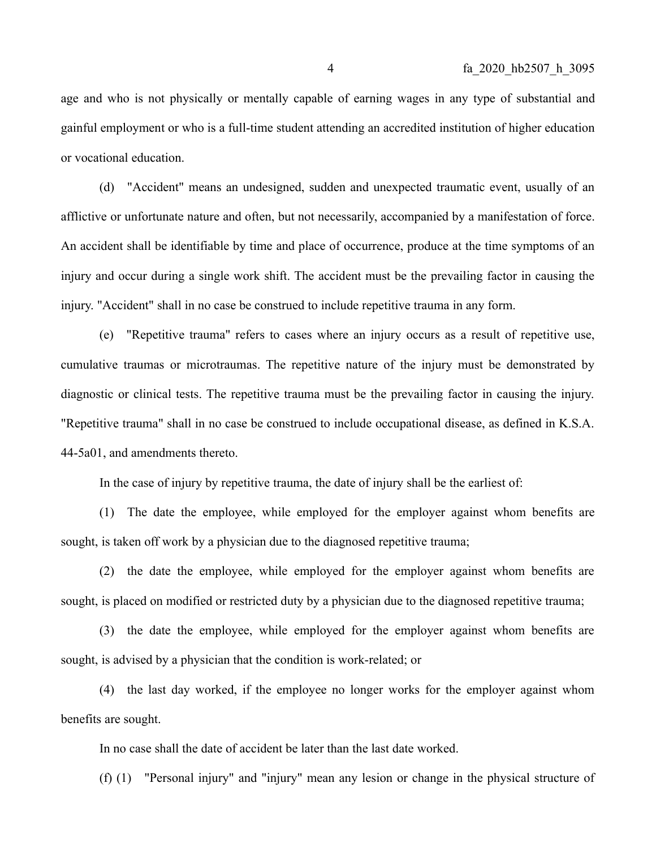age and who is not physically or mentally capable of earning wages in any type of substantial and gainful employment or who is a full-time student attending an accredited institution of higher education or vocational education.

(d) "Accident" means an undesigned, sudden and unexpected traumatic event, usually of an afflictive or unfortunate nature and often, but not necessarily, accompanied by a manifestation of force. An accident shall be identifiable by time and place of occurrence, produce at the time symptoms of an injury and occur during a single work shift. The accident must be the prevailing factor in causing the injury. "Accident" shall in no case be construed to include repetitive trauma in any form.

(e) "Repetitive trauma" refers to cases where an injury occurs as a result of repetitive use, cumulative traumas or microtraumas. The repetitive nature of the injury must be demonstrated by diagnostic or clinical tests. The repetitive trauma must be the prevailing factor in causing the injury. "Repetitive trauma" shall in no case be construed to include occupational disease, as defined in K.S.A. 44-5a01, and amendments thereto.

In the case of injury by repetitive trauma, the date of injury shall be the earliest of:

(1) The date the employee, while employed for the employer against whom benefits are sought, is taken off work by a physician due to the diagnosed repetitive trauma;

(2) the date the employee, while employed for the employer against whom benefits are sought, is placed on modified or restricted duty by a physician due to the diagnosed repetitive trauma;

(3) the date the employee, while employed for the employer against whom benefits are sought, is advised by a physician that the condition is work-related; or

(4) the last day worked, if the employee no longer works for the employer against whom benefits are sought.

In no case shall the date of accident be later than the last date worked.

(f) (1) "Personal injury" and "injury" mean any lesion or change in the physical structure of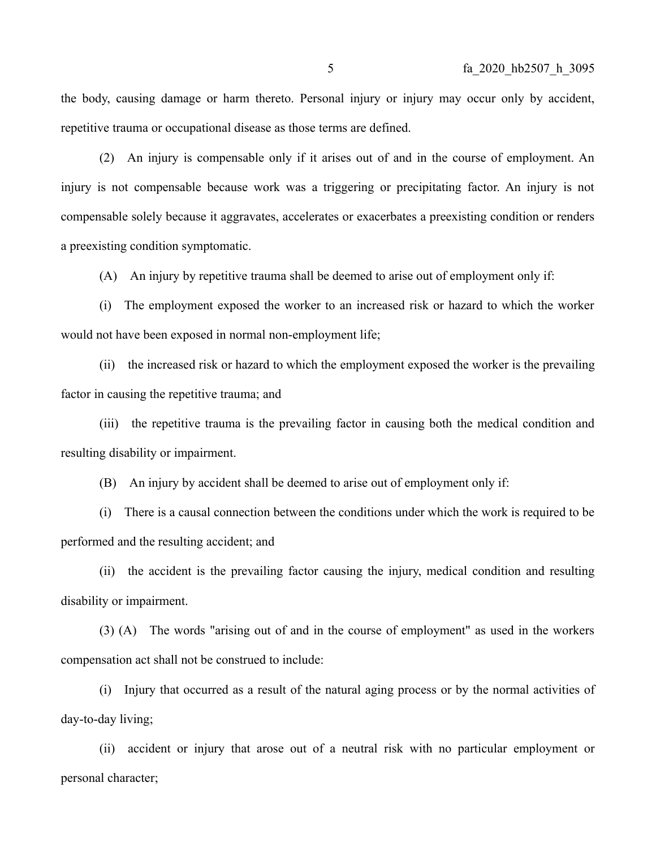the body, causing damage or harm thereto. Personal injury or injury may occur only by accident, repetitive trauma or occupational disease as those terms are defined.

(2) An injury is compensable only if it arises out of and in the course of employment. An injury is not compensable because work was a triggering or precipitating factor. An injury is not compensable solely because it aggravates, accelerates or exacerbates a preexisting condition or renders a preexisting condition symptomatic.

(A) An injury by repetitive trauma shall be deemed to arise out of employment only if:

(i) The employment exposed the worker to an increased risk or hazard to which the worker would not have been exposed in normal non-employment life;

(ii) the increased risk or hazard to which the employment exposed the worker is the prevailing factor in causing the repetitive trauma; and

(iii) the repetitive trauma is the prevailing factor in causing both the medical condition and resulting disability or impairment.

(B) An injury by accident shall be deemed to arise out of employment only if:

(i) There is a causal connection between the conditions under which the work is required to be performed and the resulting accident; and

(ii) the accident is the prevailing factor causing the injury, medical condition and resulting disability or impairment.

(3) (A) The words "arising out of and in the course of employment" as used in the workers compensation act shall not be construed to include:

(i) Injury that occurred as a result of the natural aging process or by the normal activities of day-to-day living;

(ii) accident or injury that arose out of a neutral risk with no particular employment or personal character;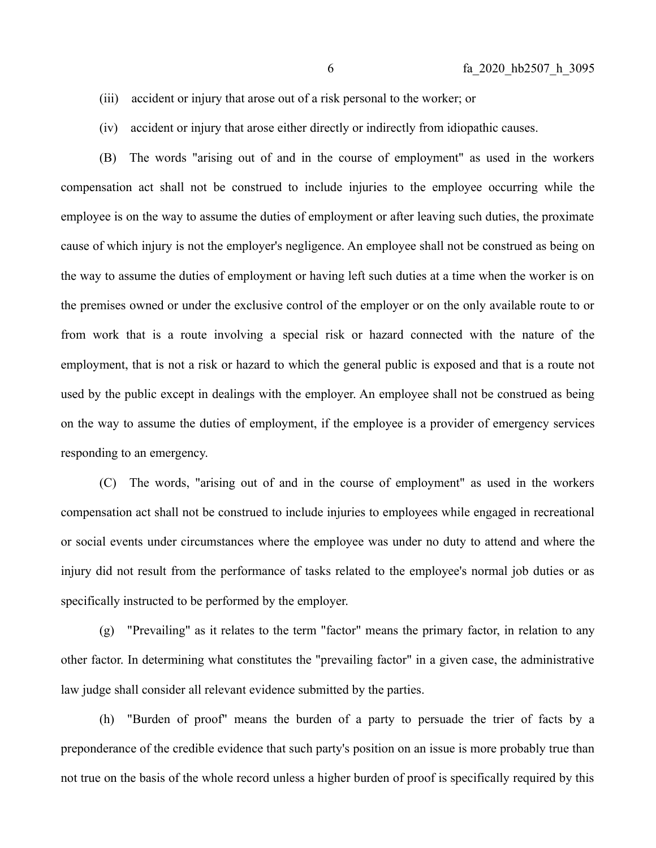- (iii) accident or injury that arose out of a risk personal to the worker; or
- (iv) accident or injury that arose either directly or indirectly from idiopathic causes.

(B) The words "arising out of and in the course of employment" as used in the workers compensation act shall not be construed to include injuries to the employee occurring while the employee is on the way to assume the duties of employment or after leaving such duties, the proximate cause of which injury is not the employer's negligence. An employee shall not be construed as being on the way to assume the duties of employment or having left such duties at a time when the worker is on the premises owned or under the exclusive control of the employer or on the only available route to or from work that is a route involving a special risk or hazard connected with the nature of the employment, that is not a risk or hazard to which the general public is exposed and that is a route not used by the public except in dealings with the employer. An employee shall not be construed as being on the way to assume the duties of employment, if the employee is a provider of emergency services responding to an emergency.

(C) The words, "arising out of and in the course of employment" as used in the workers compensation act shall not be construed to include injuries to employees while engaged in recreational or social events under circumstances where the employee was under no duty to attend and where the injury did not result from the performance of tasks related to the employee's normal job duties or as specifically instructed to be performed by the employer.

(g) "Prevailing" as it relates to the term "factor" means the primary factor, in relation to any other factor. In determining what constitutes the "prevailing factor" in a given case, the administrative law judge shall consider all relevant evidence submitted by the parties.

(h) "Burden of proof" means the burden of a party to persuade the trier of facts by a preponderance of the credible evidence that such party's position on an issue is more probably true than not true on the basis of the whole record unless a higher burden of proof is specifically required by this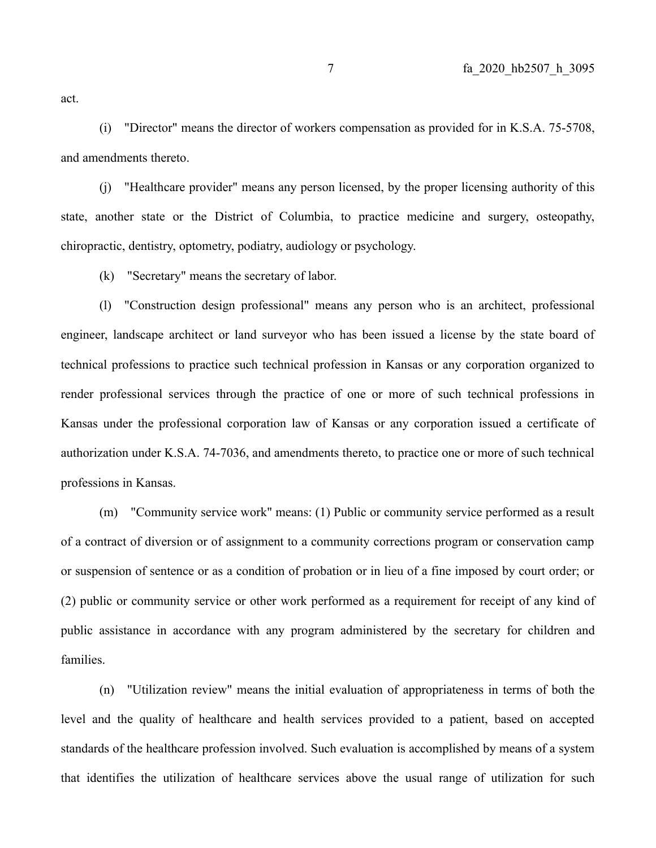act.

(i) "Director" means the director of workers compensation as provided for in K.S.A. 75-5708, and amendments thereto.

(j) "Healthcare provider" means any person licensed, by the proper licensing authority of this state, another state or the District of Columbia, to practice medicine and surgery, osteopathy, chiropractic, dentistry, optometry, podiatry, audiology or psychology.

(k) "Secretary" means the secretary of labor.

(l) "Construction design professional" means any person who is an architect, professional engineer, landscape architect or land surveyor who has been issued a license by the state board of technical professions to practice such technical profession in Kansas or any corporation organized to render professional services through the practice of one or more of such technical professions in Kansas under the professional corporation law of Kansas or any corporation issued a certificate of authorization under K.S.A. 74-7036, and amendments thereto, to practice one or more of such technical professions in Kansas.

(m) "Community service work" means: (1) Public or community service performed as a result of a contract of diversion or of assignment to a community corrections program or conservation camp or suspension of sentence or as a condition of probation or in lieu of a fine imposed by court order; or (2) public or community service or other work performed as a requirement for receipt of any kind of public assistance in accordance with any program administered by the secretary for children and families.

(n) "Utilization review" means the initial evaluation of appropriateness in terms of both the level and the quality of healthcare and health services provided to a patient, based on accepted standards of the healthcare profession involved. Such evaluation is accomplished by means of a system that identifies the utilization of healthcare services above the usual range of utilization for such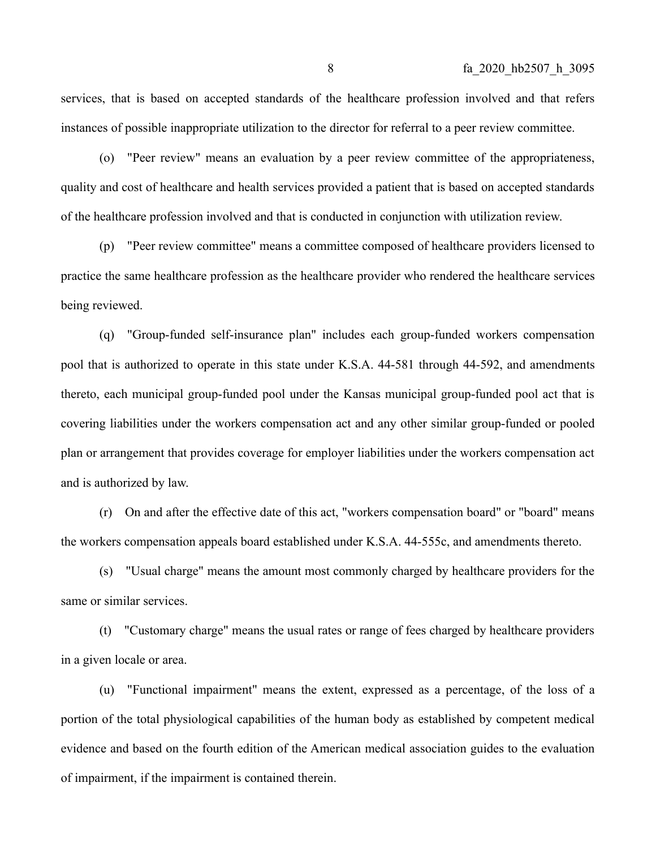services, that is based on accepted standards of the healthcare profession involved and that refers instances of possible inappropriate utilization to the director for referral to a peer review committee.

(o) "Peer review" means an evaluation by a peer review committee of the appropriateness, quality and cost of healthcare and health services provided a patient that is based on accepted standards of the healthcare profession involved and that is conducted in conjunction with utilization review.

(p) "Peer review committee" means a committee composed of healthcare providers licensed to practice the same healthcare profession as the healthcare provider who rendered the healthcare services being reviewed.

(q) "Group-funded self-insurance plan" includes each group-funded workers compensation pool that is authorized to operate in this state under K.S.A. 44-581 through 44-592, and amendments thereto, each municipal group-funded pool under the Kansas municipal group-funded pool act that is covering liabilities under the workers compensation act and any other similar group-funded or pooled plan or arrangement that provides coverage for employer liabilities under the workers compensation act and is authorized by law.

(r) On and after the effective date of this act, "workers compensation board" or "board" means the workers compensation appeals board established under K.S.A. 44-555c, and amendments thereto.

(s) "Usual charge" means the amount most commonly charged by healthcare providers for the same or similar services.

(t) "Customary charge" means the usual rates or range of fees charged by healthcare providers in a given locale or area.

(u) "Functional impairment" means the extent, expressed as a percentage, of the loss of a portion of the total physiological capabilities of the human body as established by competent medical evidence and based on the fourth edition of the American medical association guides to the evaluation of impairment, if the impairment is contained therein.